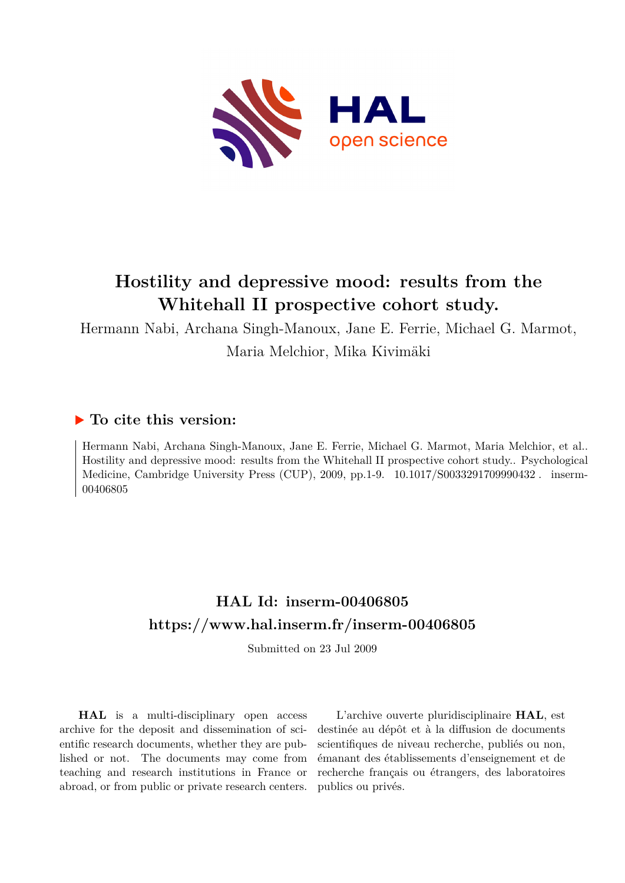

# **Hostility and depressive mood: results from the Whitehall II prospective cohort study.**

Hermann Nabi, Archana Singh-Manoux, Jane E. Ferrie, Michael G. Marmot, Maria Melchior, Mika Kivimäki

## **To cite this version:**

Hermann Nabi, Archana Singh-Manoux, Jane E. Ferrie, Michael G. Marmot, Maria Melchior, et al.. Hostility and depressive mood: results from the Whitehall II prospective cohort study.. Psychological Medicine, Cambridge University Press (CUP), 2009, pp.1-9. 10.1017/S0033291709990432. inserm-00406805

## **HAL Id: inserm-00406805 <https://www.hal.inserm.fr/inserm-00406805>**

Submitted on 23 Jul 2009

**HAL** is a multi-disciplinary open access archive for the deposit and dissemination of scientific research documents, whether they are published or not. The documents may come from teaching and research institutions in France or abroad, or from public or private research centers.

L'archive ouverte pluridisciplinaire **HAL**, est destinée au dépôt et à la diffusion de documents scientifiques de niveau recherche, publiés ou non, émanant des établissements d'enseignement et de recherche français ou étrangers, des laboratoires publics ou privés.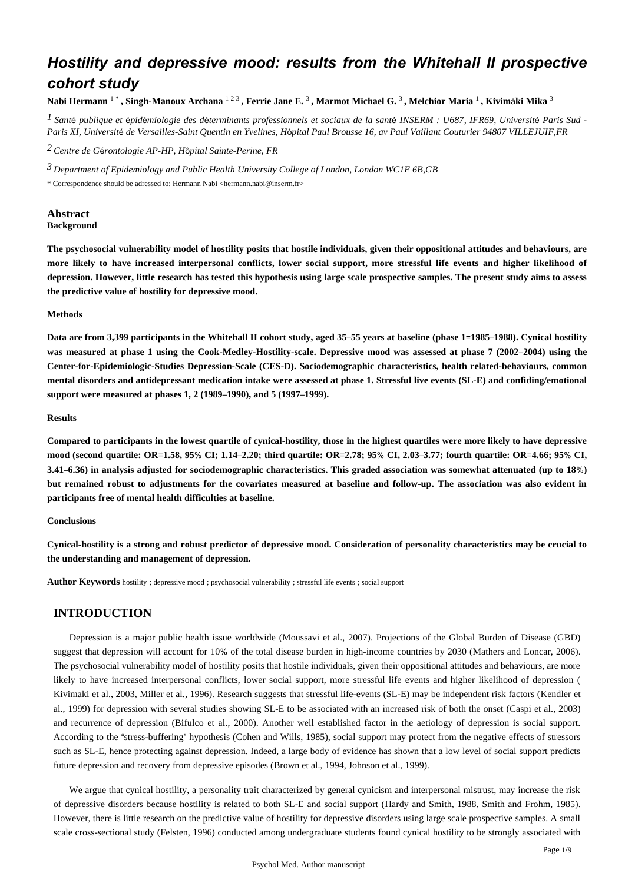## *Hostility and depressive mood: results from the Whitehall II prospective cohort study*

Nabi Hermann <sup>1</sup> \* , Singh-Manoux Archana <sup>123</sup> , Ferrie Jane E. <sup>3</sup> , Marmot Michael G. <sup>3</sup> , Melchior Maria <sup>1</sup> , Kivimäki Mika <sup>3</sup>

<sup>1</sup> Santé publique et épidémiologie des déterminants professionnels et sociaux de la santé INSERM : U687, IFR69, Université Paris Sud -*Paris XI, Universit*é *de Versailles-Saint Quentin en Yvelines, H*ô*pital Paul Brousse 16, av Paul Vaillant Couturier 94807 VILLEJUIF,FR*

*Centre de G rontologie 2* <sup>é</sup> *AP-HP, H*ô*pital Sainte-Perine, FR*

*Department of Epidemiology and Public Health 3 University College of London, London WC1E 6B,GB*

\* Correspondence should be adressed to: Hermann Nabi <hermann.nabi@inserm.fr>

## **Abstract Background**

**The psychosocial vulnerability model of hostility posits that hostile individuals, given their oppositional attitudes and behaviours, are more likely to have increased interpersonal conflicts, lower social support, more stressful life events and higher likelihood of depression. However, little research has tested this hypothesis using large scale prospective samples. The present study aims to assess the predictive value of hostility for depressive mood.**

## **Methods**

**Data are from 3,399 participants in the Whitehall II cohort study, aged 35**–**55 years at baseline (phase 1**=**1985**–**1988). Cynical hostility was measured at phase 1 using the Cook-Medley-Hostility-scale. Depressive mood was assessed at phase 7 (2002**–**2004) using the Center-for-Epidemiologic-Studies Depression-Scale (CES-D). Sociodemographic characteristics, health related-behaviours, common mental disorders and antidepressant medication intake were assessed at phase 1. Stressful live events (SL-E) and confiding/emotional support were measured at phases 1, 2 (1989**–**1990), and 5 (1997**–**1999).**

## **Results**

**Compared to participants in the lowest quartile of cynical-hostility, those in the highest quartiles were more likely to have depressive mood (second quartile: OR**=**1.58, 95**% **CI; 1.14**–**2.20; third quartile: OR**=**2.78; 95**% **CI, 2.03**–**3.77; fourth quartile: OR**=**4.66; 95**% **CI, 3.41**–**6.36) in analysis adjusted for sociodemographic characteristics. This graded association was somewhat attenuated (up to 18**%**) but remained robust to adjustments for the covariates measured at baseline and follow-up. The association was also evident in participants free of mental health difficulties at baseline.**

#### **Conclusions**

**Cynical-hostility is a strong and robust predictor of depressive mood. Consideration of personality characteristics may be crucial to the understanding and management of depression.**

**Author Keywords** hostility ; depressive mood ; psychosocial vulnerability ; stressful life events ; social support

## **INTRODUCTION**

Depression is a major public health issue worldwide (Moussavi et al., 2007). Projections of the Global Burden of Disease (GBD) suggest that depression will account for 10% of the total disease burden in high-income countries by 2030 (Mathers and Loncar, 2006). The psychosocial vulnerability model of hostility posits that hostile individuals, given their oppositional attitudes and behaviours, are more likely to have increased interpersonal conflicts, lower social support, more stressful life events and higher likelihood of depression ( Kivimaki et al., 2003, Miller et al., 1996). Research suggests that stressful life-events (SL-E) may be independent risk factors (Kendler et al., 1999) for depression with several studies showing SL-E to be associated with an increased risk of both the onset (Caspi et al., 2003) and recurrence of depression (Bifulco et al., 2000). Another well established factor in the aetiology of depression is social support. According to the "stress-buffering" hypothesis (Cohen and Wills, 1985), social support may protect from the negative effects of stressors such as SL-E, hence protecting against depression. Indeed, a large body of evidence has shown that a low level of social support predicts future depression and recovery from depressive episodes (Brown et al., 1994, Johnson et al., 1999).

We argue that cynical hostility, a personality trait characterized by general cynicism and interpersonal mistrust, may increase the risk of depressive disorders because hostility is related to both SL-E and social support (Hardy and Smith, 1988, Smith and Frohm, 1985). However, there is little research on the predictive value of hostility for depressive disorders using large scale prospective samples. A small scale cross-sectional study (Felsten, 1996) conducted among undergraduate students found cynical hostility to be strongly associated with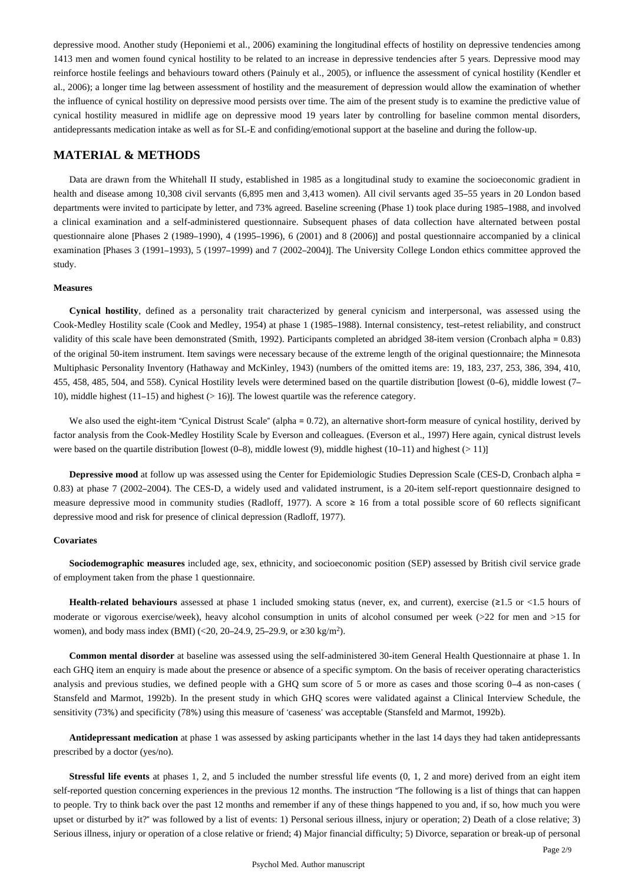depressive mood. Another study (Heponiemi et al., 2006) examining the longitudinal effects of hostility on depressive tendencies among 1413 men and women found cynical hostility to be related to an increase in depressive tendencies after 5 years. Depressive mood may reinforce hostile feelings and behaviours toward others (Painuly et al., 2005), or influence the assessment of cynical hostility (Kendler et al., 2006); a longer time lag between assessment of hostility and the measurement of depression would allow the examination of whether the influence of cynical hostility on depressive mood persists over time. The aim of the present study is to examine the predictive value of cynical hostility measured in midlife age on depressive mood 19 years later by controlling for baseline common mental disorders, antidepressants medication intake as well as for SL-E and confiding/emotional support at the baseline and during the follow-up.

## **MATERIAL & METHODS**

Data are drawn from the Whitehall II study, established in 1985 as a longitudinal study to examine the socioeconomic gradient in health and disease among 10,308 civil servants (6,895 men and 3,413 women). All civil servants aged 35–55 years in 20 London based departments were invited to participate by letter, and 73% agreed. Baseline screening (Phase 1) took place during 1985–1988, and involved a clinical examination and a self-administered questionnaire. Subsequent phases of data collection have alternated between postal questionnaire alone [Phases 2 (1989–1990), 4 (1995–1996), 6 (2001) and 8 (2006)] and postal questionnaire accompanied by a clinical examination [Phases 3 (1991–1993), 5 (1997–1999) and 7 (2002–2004)]. The University College London ethics committee approved the study.

## **Measures**

**Cynical hostility**, defined as a personality trait characterized by general cynicism and interpersonal, was assessed using the Cook-Medley Hostility scale (Cook and Medley, 1954) at phase 1 (1985–1988). Internal consistency, test–retest reliability, and construct validity of this scale have been demonstrated (Smith, 1992). Participants completed an abridged 38-item version (Cronbach alpha = 0.83) of the original 50-item instrument. Item savings were necessary because of the extreme length of the original questionnaire; the Minnesota Multiphasic Personality Inventory (Hathaway and McKinley, 1943) (numbers of the omitted items are: 19, 183, 237, 253, 386, 394, 410, 455, 458, 485, 504, and 558). Cynical Hostility levels were determined based on the quartile distribution [lowest (0–6), middle lowest (7– 10), middle highest (11–15) and highest (> 16)]. The lowest quartile was the reference category.

We also used the eight-item "Cynical Distrust Scale" (alpha = 0.72), an alternative short-form measure of cynical hostility, derived by factor analysis from the Cook-Medley Hostility Scale by Everson and colleagues. (Everson et al., 1997) Here again, cynical distrust levels were based on the quartile distribution [lowest (0–8), middle lowest (9), middle highest (10–11) and highest (> 11)]

**Depressive mood** at follow up was assessed using the Center for Epidemiologic Studies Depression Scale (CES-D, Cronbach alpha = 0.83) at phase 7 (2002–2004). The CES-D, a widely used and validated instrument, is a 20-item self-report questionnaire designed to measure depressive mood in community studies (Radloff, 1977). A score ≥ 16 from a total possible score of 60 reflects significant depressive mood and risk for presence of clinical depression (Radloff, 1977).

#### **Covariates**

**Sociodemographic measures** included age, sex, ethnicity, and socioeconomic position (SEP) assessed by British civil service grade of employment taken from the phase 1 questionnaire.

**Health-related behaviours** assessed at phase 1 included smoking status (never, ex, and current), exercise (≥1.5 or <1.5 hours of moderate or vigorous exercise/week), heavy alcohol consumption in units of alcohol consumed per week (>22 for men and >15 for women), and body mass index (BMI) (<20, 20–24.9, 25–29.9, or ≥30 kg/m<sup>2</sup>).

**Common mental disorder** at baseline was assessed using the self-administered 30-item General Health Questionnaire at phase 1. In each GHQ item an enquiry is made about the presence or absence of a specific symptom. On the basis of receiver operating characteristics analysis and previous studies, we defined people with a GHQ sum score of 5 or more as cases and those scoring 0–4 as non-cases ( Stansfeld and Marmot, 1992b). In the present study in which GHQ scores were validated against a Clinical Interview Schedule, the sensitivity (73%) and specificity (78%) using this measure of 'caseness' was acceptable (Stansfeld and Marmot, 1992b).

**Antidepressant medication** at phase 1 was assessed by asking participants whether in the last 14 days they had taken antidepressants prescribed by a doctor (yes/no).

**Stressful life events** at phases 1, 2, and 5 included the number stressful life events  $(0, 1, 2, 2)$  and more) derived from an eight item self-reported question concerning experiences in the previous 12 months. The instruction "The following is a list of things that can happen to people. Try to think back over the past 12 months and remember if any of these things happened to you and, if so, how much you were upset or disturbed by it?" was followed by a list of events: 1) Personal serious illness, injury or operation; 2) Death of a close relative; 3) Serious illness, injury or operation of a close relative or friend; 4) Major financial difficulty; 5) Divorce, separation or break-up of personal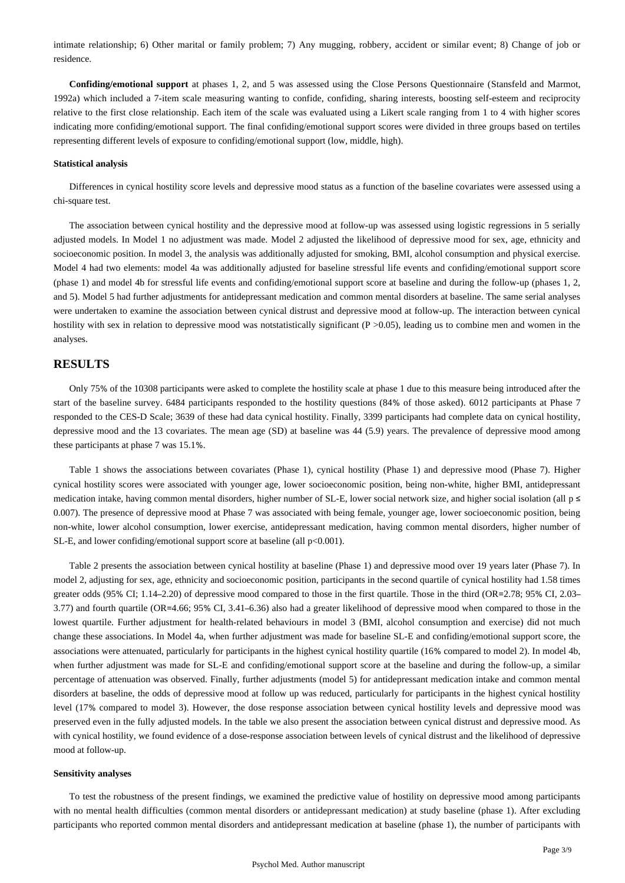intimate relationship; 6) Other marital or family problem; 7) Any mugging, robbery, accident or similar event; 8) Change of job or residence.

**Confiding/emotional support** at phases 1, 2, and 5 was assessed using the Close Persons Questionnaire (Stansfeld and Marmot, 1992a) which included a 7-item scale measuring wanting to confide, confiding, sharing interests, boosting self-esteem and reciprocity relative to the first close relationship. Each item of the scale was evaluated using a Likert scale ranging from 1 to 4 with higher scores indicating more confiding/emotional support. The final confiding/emotional support scores were divided in three groups based on tertiles representing different levels of exposure to confiding/emotional support (low, middle, high).

#### **Statistical analysis**

Differences in cynical hostility score levels and depressive mood status as a function of the baseline covariates were assessed using a chi-square test.

The association between cynical hostility and the depressive mood at follow-up was assessed using logistic regressions in 5 serially adjusted models. In Model 1 no adjustment was made. Model 2 adjusted the likelihood of depressive mood for sex, age, ethnicity and socioeconomic position. In model 3, the analysis was additionally adjusted for smoking, BMI, alcohol consumption and physical exercise. Model 4 had two elements: model 4a was additionally adjusted for baseline stressful life events and confiding/emotional support score (phase 1) and model 4b for stressful life events and confiding/emotional support score at baseline and during the follow-up (phases 1, 2, and 5). Model 5 had further adjustments for antidepressant medication and common mental disorders at baseline. The same serial analyses were undertaken to examine the association between cynical distrust and depressive mood at follow-up. The interaction between cynical hostility with sex in relation to depressive mood was notstatistically significant (P >0.05), leading us to combine men and women in the analyses.

## **RESULTS**

Only 75% of the 10308 participants were asked to complete the hostility scale at phase 1 due to this measure being introduced after the start of the baseline survey. 6484 participants responded to the hostility questions (84% of those asked). 6012 participants at Phase 7 responded to the CES-D Scale; 3639 of these had data cynical hostility. Finally, 3399 participants had complete data on cynical hostility, depressive mood and the 13 covariates. The mean age (SD) at baseline was 44 (5.9) years. The prevalence of depressive mood among these participants at phase 7 was 15.1%.

Table 1 shows the associations between covariates (Phase 1), cynical hostility (Phase 1) and depressive mood (Phase 7). Higher cynical hostility scores were associated with younger age, lower socioeconomic position, being non-white, higher BMI, antidepressant medication intake, having common mental disorders, higher number of SL-E, lower social network size, and higher social isolation (all  $p \leq$ 0.007). The presence of depressive mood at Phase 7 was associated with being female, younger age, lower socioeconomic position, being non-white, lower alcohol consumption, lower exercise, antidepressant medication, having common mental disorders, higher number of SL-E, and lower confiding/emotional support score at baseline (all  $p<0.001$ ).

Table 2 presents the association between cynical hostility at baseline (Phase 1) and depressive mood over 19 years later (Phase 7). In model 2, adjusting for sex, age, ethnicity and socioeconomic position, participants in the second quartile of cynical hostility had 1.58 times greater odds (95% CI; 1.14–2.20) of depressive mood compared to those in the first quartile. Those in the third (OR=2.78; 95% CI, 2.03– 3.77) and fourth quartile (OR=4.66; 95% CI, 3.41–6.36) also had a greater likelihood of depressive mood when compared to those in the lowest quartile. Further adjustment for health-related behaviours in model 3 (BMI, alcohol consumption and exercise) did not much change these associations. In Model 4a, when further adjustment was made for baseline SL-E and confiding/emotional support score, the associations were attenuated, particularly for participants in the highest cynical hostility quartile (16% compared to model 2). In model 4b, when further adjustment was made for SL-E and confiding/emotional support score at the baseline and during the follow-up, a similar percentage of attenuation was observed. Finally, further adjustments (model 5) for antidepressant medication intake and common mental disorders at baseline, the odds of depressive mood at follow up was reduced, particularly for participants in the highest cynical hostility level (17% compared to model 3). However, the dose response association between cynical hostility levels and depressive mood was preserved even in the fully adjusted models. In the table we also present the association between cynical distrust and depressive mood. As with cynical hostility, we found evidence of a dose-response association between levels of cynical distrust and the likelihood of depressive mood at follow-up.

## **Sensitivity analyses**

To test the robustness of the present findings, we examined the predictive value of hostility on depressive mood among participants with no mental health difficulties (common mental disorders or antidepressant medication) at study baseline (phase 1). After excluding participants who reported common mental disorders and antidepressant medication at baseline (phase 1), the number of participants with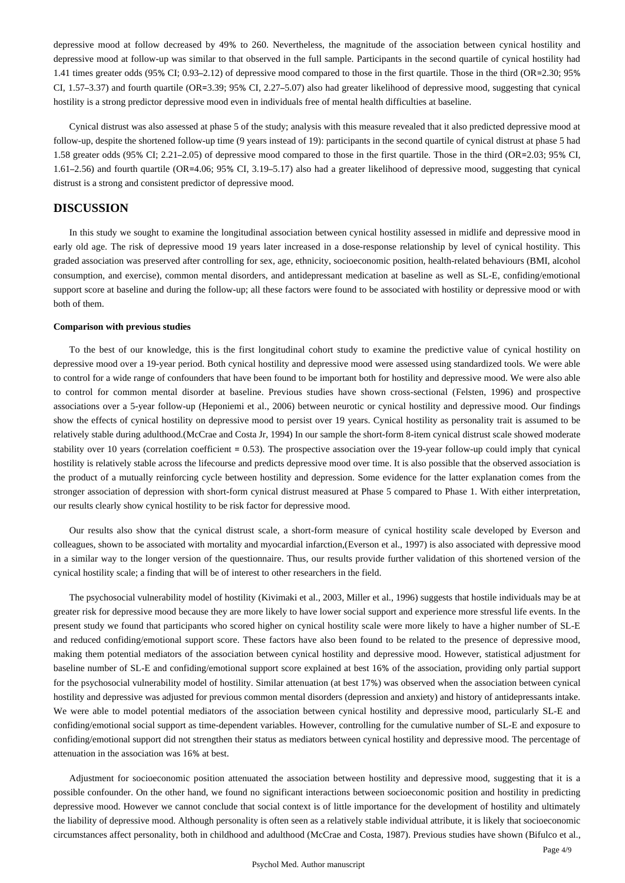depressive mood at follow decreased by 49% to 260. Nevertheless, the magnitude of the association between cynical hostility and depressive mood at follow-up was similar to that observed in the full sample. Participants in the second quartile of cynical hostility had 1.41 times greater odds (95% CI; 0.93–2.12) of depressive mood compared to those in the first quartile. Those in the third (OR=2.30; 95% CI, 1.57–3.37) and fourth quartile (OR=3.39; 95% CI, 2.27–5.07) also had greater likelihood of depressive mood, suggesting that cynical hostility is a strong predictor depressive mood even in individuals free of mental health difficulties at baseline.

Cynical distrust was also assessed at phase 5 of the study; analysis with this measure revealed that it also predicted depressive mood at follow-up, despite the shortened follow-up time (9 years instead of 19): participants in the second quartile of cynical distrust at phase 5 had 1.58 greater odds (95% CI; 2.21–2.05) of depressive mood compared to those in the first quartile. Those in the third (OR=2.03; 95% CI, 1.61–2.56) and fourth quartile (OR=4.06; 95% CI, 3.19–5.17) also had a greater likelihood of depressive mood, suggesting that cynical distrust is a strong and consistent predictor of depressive mood.

## **DISCUSSION**

In this study we sought to examine the longitudinal association between cynical hostility assessed in midlife and depressive mood in early old age. The risk of depressive mood 19 years later increased in a dose-response relationship by level of cynical hostility. This graded association was preserved after controlling for sex, age, ethnicity, socioeconomic position, health-related behaviours (BMI, alcohol consumption, and exercise), common mental disorders, and antidepressant medication at baseline as well as SL-E, confiding/emotional support score at baseline and during the follow-up; all these factors were found to be associated with hostility or depressive mood or with both of them.

## **Comparison with previous studies**

To the best of our knowledge, this is the first longitudinal cohort study to examine the predictive value of cynical hostility on depressive mood over a 19-year period. Both cynical hostility and depressive mood were assessed using standardized tools. We were able to control for a wide range of confounders that have been found to be important both for hostility and depressive mood. We were also able to control for common mental disorder at baseline. Previous studies have shown cross-sectional (Felsten, 1996) and prospective associations over a 5-year follow-up (Heponiemi et al., 2006) between neurotic or cynical hostility and depressive mood. Our findings show the effects of cynical hostility on depressive mood to persist over 19 years. Cynical hostility as personality trait is assumed to be relatively stable during adulthood.(McCrae and Costa Jr, 1994) In our sample the short-form 8-item cynical distrust scale showed moderate stability over 10 years (correlation coefficient  $= 0.53$ ). The prospective association over the 19-year follow-up could imply that cynical hostility is relatively stable across the lifecourse and predicts depressive mood over time. It is also possible that the observed association is the product of a mutually reinforcing cycle between hostility and depression. Some evidence for the latter explanation comes from the stronger association of depression with short-form cynical distrust measured at Phase 5 compared to Phase 1. With either interpretation, our results clearly show cynical hostility to be risk factor for depressive mood.

Our results also show that the cynical distrust scale, a short-form measure of cynical hostility scale developed by Everson and colleagues, shown to be associated with mortality and myocardial infarction,(Everson et al., 1997) is also associated with depressive mood in a similar way to the longer version of the questionnaire. Thus, our results provide further validation of this shortened version of the cynical hostility scale; a finding that will be of interest to other researchers in the field.

The psychosocial vulnerability model of hostility (Kivimaki et al., 2003, Miller et al., 1996) suggests that hostile individuals may be at greater risk for depressive mood because they are more likely to have lower social support and experience more stressful life events. In the present study we found that participants who scored higher on cynical hostility scale were more likely to have a higher number of SL-E and reduced confiding/emotional support score. These factors have also been found to be related to the presence of depressive mood, making them potential mediators of the association between cynical hostility and depressive mood. However, statistical adjustment for baseline number of SL-E and confiding/emotional support score explained at best 16% of the association, providing only partial support for the psychosocial vulnerability model of hostility. Similar attenuation (at best 17%) was observed when the association between cynical hostility and depressive was adjusted for previous common mental disorders (depression and anxiety) and history of antidepressants intake. We were able to model potential mediators of the association between cynical hostility and depressive mood, particularly SL-E and confiding/emotional social support as time-dependent variables. However, controlling for the cumulative number of SL-E and exposure to confiding/emotional support did not strengthen their status as mediators between cynical hostility and depressive mood. The percentage of attenuation in the association was 16% at best.

Adjustment for socioeconomic position attenuated the association between hostility and depressive mood, suggesting that it is a possible confounder. On the other hand, we found no significant interactions between socioeconomic position and hostility in predicting depressive mood. However we cannot conclude that social context is of little importance for the development of hostility and ultimately the liability of depressive mood. Although personality is often seen as a relatively stable individual attribute, it is likely that socioeconomic circumstances affect personality, both in childhood and adulthood (McCrae and Costa, 1987). Previous studies have shown (Bifulco et al.,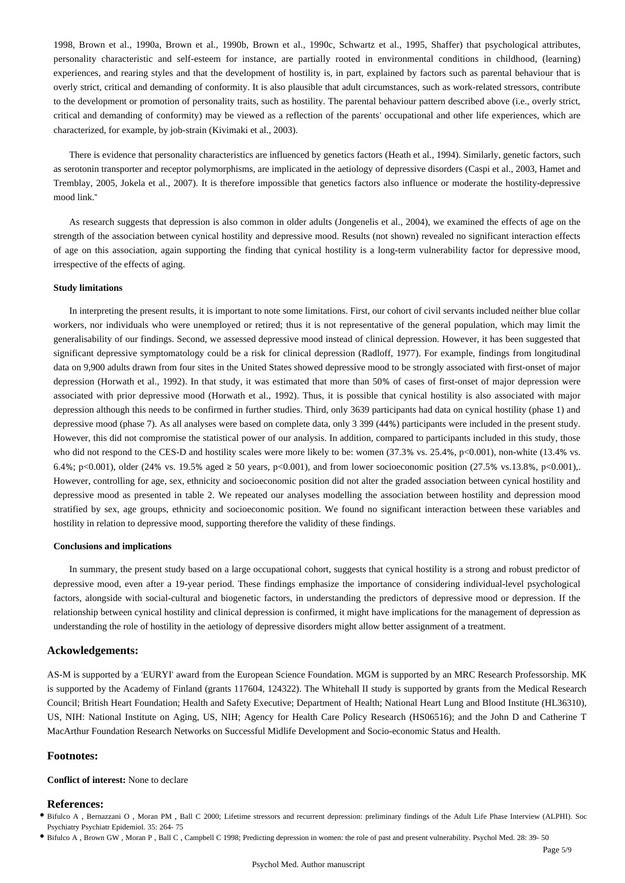1998, Brown et al., 1990a, Brown et al., 1990b, Brown et al., 1990c, Schwartz et al., 1995, Shaffer) that psychological attributes, personality characteristic and self-esteem for instance, are partially rooted in environmental conditions in childhood, (learning) experiences, and rearing styles and that the development of hostility is, in part, explained by factors such as parental behaviour that is overly strict, critical and demanding of conformity. It is also plausible that adult circumstances, such as work-related stressors, contribute to the development or promotion of personality traits, such as hostility. The parental behaviour pattern described above (i.e., overly strict, critical and demanding of conformity) may be viewed as a reflection of the parents' occupational and other life experiences, which are characterized, for example, by job-strain (Kivimaki et al., 2003).

There is evidence that personality characteristics are influenced by genetics factors (Heath et al., 1994). Similarly, genetic factors, such as serotonin transporter and receptor polymorphisms, are implicated in the aetiology of depressive disorders (Caspi et al., 2003, Hamet and Tremblay, 2005, Jokela et al., 2007). It is therefore impossible that genetics factors also influence or moderate the hostility-depressive mood link."

As research suggests that depression is also common in older adults (Jongenelis et al., 2004), we examined the effects of age on the strength of the association between cynical hostility and depressive mood. Results (not shown) revealed no significant interaction effects of age on this association, again supporting the finding that cynical hostility is a long-term vulnerability factor for depressive mood, irrespective of the effects of aging.

#### **Study limitations**

In interpreting the present results, it is important to note some limitations. First, our cohort of civil servants included neither blue collar workers, nor individuals who were unemployed or retired; thus it is not representative of the general population, which may limit the generalisability of our findings. Second, we assessed depressive mood instead of clinical depression. However, it has been suggested that significant depressive symptomatology could be a risk for clinical depression (Radloff, 1977). For example, findings from longitudinal data on 9,900 adults drawn from four sites in the United States showed depressive mood to be strongly associated with first-onset of major depression (Horwath et al., 1992). In that study, it was estimated that more than 50% of cases of first-onset of major depression were associated with prior depressive mood (Horwath et al., 1992). Thus, it is possible that cynical hostility is also associated with major depression although this needs to be confirmed in further studies. Third, only 3639 participants had data on cynical hostility (phase 1) and depressive mood (phase 7). As all analyses were based on complete data, only 3 399 (44%) participants were included in the present study. However, this did not compromise the statistical power of our analysis. In addition, compared to participants included in this study, those who did not respond to the CES-D and hostility scales were more likely to be: women (37.3% vs. 25.4%, p<0.001), non-white (13.4% vs. 6.4%; p<0.001), older (24% vs. 19.5% aged ≥ 50 years, p<0.001), and from lower socioeconomic position (27.5% vs.13.8%, p<0.001),. However, controlling for age, sex, ethnicity and socioeconomic position did not alter the graded association between cynical hostility and depressive mood as presented in table 2. We repeated our analyses modelling the association between hostility and depression mood stratified by sex, age groups, ethnicity and socioeconomic position. We found no significant interaction between these variables and hostility in relation to depressive mood, supporting therefore the validity of these findings.

#### **Conclusions and implications**

In summary, the present study based on a large occupational cohort, suggests that cynical hostility is a strong and robust predictor of depressive mood, even after a 19-year period. These findings emphasize the importance of considering individual-level psychological factors, alongside with social-cultural and biogenetic factors, in understanding the predictors of depressive mood or depression. If the relationship between cynical hostility and clinical depression is confirmed, it might have implications for the management of depression as understanding the role of hostility in the aetiology of depressive disorders might allow better assignment of a treatment.

## **Ackowledgements:**

AS-M is supported by a 'EURYI' award from the European Science Foundation. MGM is supported by an MRC Research Professorship. MK is supported by the Academy of Finland (grants 117604, 124322). The Whitehall II study is supported by grants from the Medical Research Council; British Heart Foundation; Health and Safety Executive; Department of Health; National Heart Lung and Blood Institute (HL36310), US, NIH: National Institute on Aging, US, NIH; Agency for Health Care Policy Research (HS06516); and the John D and Catherine T MacArthur Foundation Research Networks on Successful Midlife Development and Socio-economic Status and Health.

#### **Footnotes:**

## **Conflict of interest:** None to declare

## **References:**

- Bifulco A , Bernazzani O , Moran PM , Ball C 2000; Lifetime stressors and recurrent depression: preliminary findings of the Adult Life Phase Interview (ALPHI). Soc Psychiatry Psychiatr Epidemiol. 35: 264- 75
- Bifulco A , Brown GW , Moran P , Ball C , Campbell C 1998; Predicting depression in women: the role of past and present vulnerability. Psychol Med. 28: 39- 50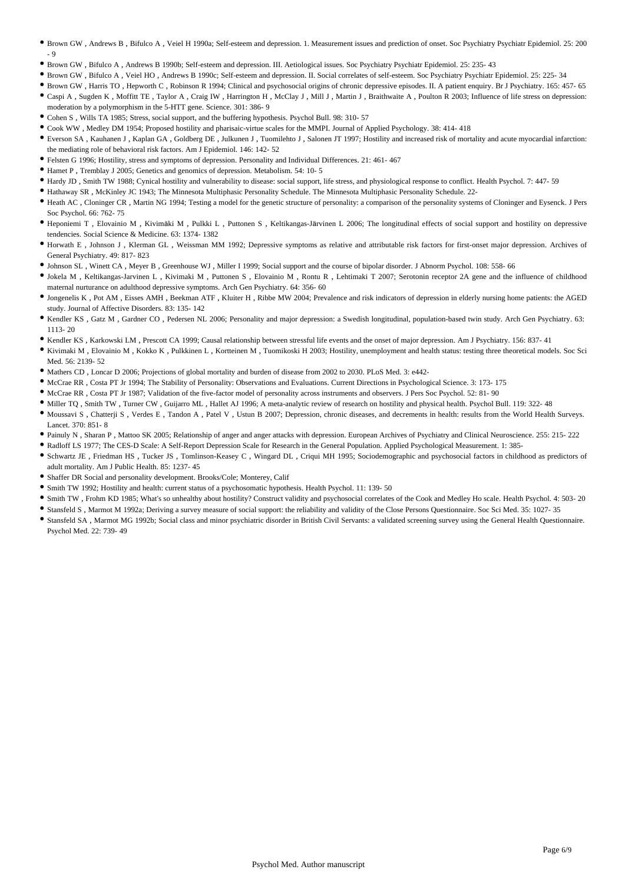- Brown GW , Andrews B , Bifulco A , Veiel H 1990a; Self-esteem and depression. 1. Measurement issues and prediction of onset. Soc Psychiatry Psychiatr Epidemiol. 25: 200  $-9$
- Brown GW , Bifulco A , Andrews B 1990b; Self-esteem and depression. III. Aetiological issues. Soc Psychiatry Psychiatr Epidemiol. 25: 235- 43
- Brown GW , Bifulco A , Veiel HO , Andrews B 1990c; Self-esteem and depression. II. Social correlates of self-esteem. Soc Psychiatry Psychiatr Epidemiol. 25: 225- 34
- Brown GW , Harris TO , Hepworth C , Robinson R 1994; Clinical and psychosocial origins of chronic depressive episodes. II. A patient enquiry. Br J Psychiatry. 165: 457- 65 Caspi A , Sugden K , Moffitt TE , Taylor A , Craig IW , Harrington H , McClay J , Mill J , Martin J , Braithwaite A , Poulton R 2003; Influence of life stress on depression: moderation by a polymorphism in the 5-HTT gene. Science. 301: 386- 9
- Cohen S , Wills TA 1985; Stress, social support, and the buffering hypothesis. Psychol Bull. 98: 310- 57
- Cook WW , Medley DM 1954; Proposed hostility and pharisaic-virtue scales for the MMPI. Journal of Applied Psychology. 38: 414- 418
- Everson SA , Kauhanen J , Kaplan GA , Goldberg DE , Julkunen J , Tuomilehto J , Salonen JT 1997; Hostility and increased risk of mortality and acute myocardial infarction: the mediating role of behavioral risk factors. Am J Epidemiol. 146: 142- 52
- Felsten G 1996; Hostility, stress and symptoms of depression. Personality and Individual Differences. 21: 461- 467
- Hamet P , Tremblay J 2005; Genetics and genomics of depression. Metabolism. 54: 10- 5
- Hardy JD , Smith TW 1988; Cynical hostility and vulnerability to disease: social support, life stress, and physiological response to conflict. Health Psychol. 7: 447- 59
- Hathaway SR , McKinley JC 1943; The Minnesota Multiphasic Personality Schedule. The Minnesota Multiphasic Personality Schedule. 22-
- Heath AC , Cloninger CR , Martin NG 1994; Testing a model for the genetic structure of personality: a comparison of the personality systems of Cloninger and Eysenck. J Pers Soc Psychol. 66: 762- 75
- Heponiemi T , Elovainio M , Kivimäki M , Pulkki L , Puttonen S , Keltikangas-Järvinen L 2006; The longitudinal effects of social support and hostility on depressive tendencies. Social Science & Medicine. 63: 1374- 1382
- Horwath E , Johnson J , Klerman GL , Weissman MM 1992; Depressive symptoms as relative and attributable risk factors for first-onset major depression. Archives of General Psychiatry. 49: 817- 823
- Johnson SL , Winett CA , Meyer B , Greenhouse WJ , Miller I 1999; Social support and the course of bipolar disorder. J Abnorm Psychol. 108: 558- 66
- Jokela M , Keltikangas-Jarvinen L , Kivimaki M , Puttonen S , Elovainio M , Rontu R , Lehtimaki T 2007; Serotonin receptor 2A gene and the influence of childhood maternal nurturance on adulthood depressive symptoms. Arch Gen Psychiatry. 64: 356- 60
- Jongenelis K , Pot AM , Eisses AMH , Beekman ATF , Kluiter H , Ribbe MW 2004; Prevalence and risk indicators of depression in elderly nursing home patients: the AGED study. Journal of Affective Disorders. 83: 135- 142
- Kendler KS , Gatz M , Gardner CO , Pedersen NL 2006; Personality and major depression: a Swedish longitudinal, population-based twin study. Arch Gen Psychiatry. 63: 1113- 20
- Kendler KS , Karkowski LM , Prescott CA 1999; Causal relationship between stressful life events and the onset of major depression. Am J Psychiatry. 156: 837- 41
- Kivimaki M , Elovainio M , Kokko K , Pulkkinen L , Kortteinen M , Tuomikoski H 2003; Hostility, unemployment and health status: testing three theoretical models. Soc Sci Med. 56: 2139- 52
- Mathers CD , Loncar D 2006; Projections of global mortality and burden of disease from 2002 to 2030. PLoS Med. 3: e442-
- McCrae RR , Costa PT Jr 1994; The Stability of Personality: Observations and Evaluations. Current Directions in Psychological Science. 3: 173- 175
- McCrae RR , Costa PT Jr 1987; Validation of the five-factor model of personality across instruments and observers. J Pers Soc Psychol. 52: 81- 90
- $\bullet$  Miller TQ, Smith TW, Turner CW, Guijarro ML, Hallet AJ 1996; A meta-analytic review of research on hostility and physical health. Psychol Bull. 119: 322-48
- Moussavi S , Chatterji S , Verdes E , Tandon A , Patel V , Ustun B 2007; Depression, chronic diseases, and decrements in health: results from the World Health Surveys. Lancet. 370: 851- 8
- Painuly N , Sharan P , Mattoo SK 2005; Relationship of anger and anger attacks with depression. European Archives of Psychiatry and Clinical Neuroscience. 255: 215- 222
- Radloff LS 1977; The CES-D Scale: A Self-Report Depression Scale for Research in the General Population. Applied Psychological Measurement. 1: 385-
- Schwartz JE , Friedman HS , Tucker JS , Tomlinson-Keasey C , Wingard DL , Criqui MH 1995; Sociodemographic and psychosocial factors in childhood as predictors of adult mortality. Am J Public Health. 85: 1237- 45
- Shaffer DR Social and personality development. Brooks/Cole; Monterey, Calif
- Smith TW 1992; Hostility and health: current status of a psychosomatic hypothesis. Health Psychol. 11: 139- 50
- Smith TW , Frohm KD 1985; What's so unhealthy about hostility? Construct validity and psychosocial correlates of the Cook and Medley Ho scale. Health Psychol. 4: 503- 20
- Stansfeld S , Marmot M 1992a; Deriving a survey measure of social support: the reliability and validity of the Close Persons Questionnaire. Soc Sci Med. 35: 1027- 35
- Stansfeld SA , Marmot MG 1992b; Social class and minor psychiatric disorder in British Civil Servants: a validated screening survey using the General Health Questionnaire. Psychol Med. 22: 739- 49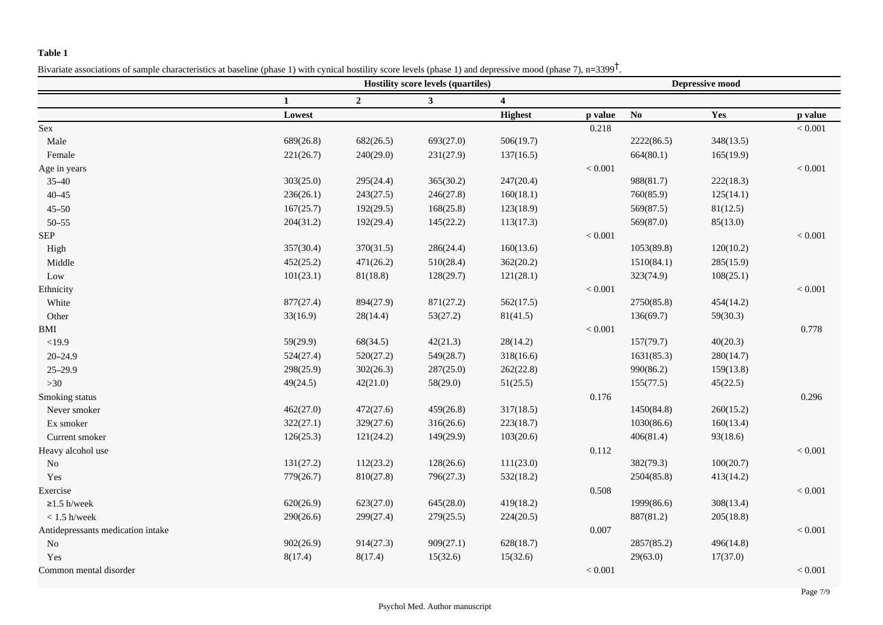## **Table 1**

Bivariate associations of sample characteristics at baseline (phase 1) with cynical hostility score levels (phase 1) and depressive mood (phase 7),  $n=3399^{\dagger}$ .

|                                   |           | <b>Hostility score levels (quartiles)</b> |                |                         |         | <b>Depressive mood</b> |           |           |  |
|-----------------------------------|-----------|-------------------------------------------|----------------|-------------------------|---------|------------------------|-----------|-----------|--|
|                                   |           | $\overline{2}$                            | 3 <sup>1</sup> | $\overline{\mathbf{4}}$ |         |                        |           |           |  |
|                                   | Lowest    |                                           |                | <b>Highest</b>          | p value | $\mathbf{N}\mathbf{o}$ | Yes       | p value   |  |
| Sex                               |           |                                           |                |                         | 0.218   |                        |           | < 0.001   |  |
| Male                              | 689(26.8) | 682(26.5)                                 | 693(27.0)      | 506(19.7)               |         | 2222(86.5)             | 348(13.5) |           |  |
| Female                            | 221(26.7) | 240(29.0)                                 | 231(27.9)      | 137(16.5)               |         | 664(80.1)              | 165(19.9) |           |  |
| Age in years                      |           |                                           |                |                         | < 0.001 |                        |           | < 0.001   |  |
| $35 - 40$                         | 303(25.0) | 295(24.4)                                 | 365(30.2)      | 247(20.4)               |         | 988(81.7)              | 222(18.3) |           |  |
| $40 - 45$                         | 236(26.1) | 243(27.5)                                 | 246(27.8)      | 160(18.1)               |         | 760(85.9)              | 125(14.1) |           |  |
| $45 - 50$                         | 167(25.7) | 192(29.5)                                 | 168(25.8)      | 123(18.9)               |         | 569(87.5)              | 81(12.5)  |           |  |
| $50 - 55$                         | 204(31.2) | 192(29.4)                                 | 145(22.2)      | 113(17.3)               |         | 569(87.0)              | 85(13.0)  |           |  |
| <b>SEP</b>                        |           |                                           |                |                         | < 0.001 |                        |           | < 0.001   |  |
| High                              | 357(30.4) | 370(31.5)                                 | 286(24.4)      | 160(13.6)               |         | 1053(89.8)             | 120(10.2) |           |  |
| Middle                            | 452(25.2) | 471(26.2)                                 | 510(28.4)      | 362(20.2)               |         | 1510(84.1)             | 285(15.9) |           |  |
| Low                               | 101(23.1) | 81(18.8)                                  | 128(29.7)      | 121(28.1)               |         | 323(74.9)              | 108(25.1) |           |  |
| Ethnicity                         |           |                                           |                |                         | < 0.001 |                        |           | < 0.001   |  |
| White                             | 877(27.4) | 894(27.9)                                 | 871(27.2)      | 562(17.5)               |         | 2750(85.8)             | 454(14.2) |           |  |
| Other                             | 33(16.9)  | 28(14.4)                                  | 53(27.2)       | 81(41.5)                |         | 136(69.7)              | 59(30.3)  |           |  |
| <b>BMI</b>                        |           |                                           |                |                         | < 0.001 |                        |           | 0.778     |  |
| <19.9                             | 59(29.9)  | 68(34.5)                                  | 42(21.3)       | 28(14.2)                |         | 157(79.7)              | 40(20.3)  |           |  |
| $20 - 24.9$                       | 524(27.4) | 520(27.2)                                 | 549(28.7)      | 318(16.6)               |         | 1631(85.3)             | 280(14.7) |           |  |
| $25 - 29.9$                       | 298(25.9) | 302(26.3)                                 | 287(25.0)      | 262(22.8)               |         | 990(86.2)              | 159(13.8) |           |  |
| $>30$                             | 49(24.5)  | 42(21.0)                                  | 58(29.0)       | 51(25.5)                |         | 155(77.5)              | 45(22.5)  |           |  |
| Smoking status                    |           |                                           |                |                         | 0.176   |                        |           | 0.296     |  |
| Never smoker                      | 462(27.0) | 472(27.6)                                 | 459(26.8)      | 317(18.5)               |         | 1450(84.8)             | 260(15.2) |           |  |
| Ex smoker                         | 322(27.1) | 329(27.6)                                 | 316(26.6)      | 223(18.7)               |         | 1030(86.6)             | 160(13.4) |           |  |
| Current smoker                    | 126(25.3) | 121(24.2)                                 | 149(29.9)      | 103(20.6)               |         | 406(81.4)              | 93(18.6)  |           |  |
| Heavy alcohol use                 |           |                                           |                |                         | 0.112   |                        |           | $< 0.001$ |  |
| $\rm No$                          | 131(27.2) | 112(23.2)                                 | 128(26.6)      | 111(23.0)               |         | 382(79.3)              | 100(20.7) |           |  |
| Yes                               | 779(26.7) | 810(27.8)                                 | 796(27.3)      | 532(18.2)               |         | 2504(85.8)             | 413(14.2) |           |  |
| Exercise                          |           |                                           |                |                         | 0.508   |                        |           | < 0.001   |  |
| $\geq$ 1.5 h/week                 | 620(26.9) | 623(27.0)                                 | 645(28.0)      | 419(18.2)               |         | 1999(86.6)             | 308(13.4) |           |  |
| $< 1.5$ h/week                    | 290(26.6) | 299(27.4)                                 | 279(25.5)      | 224(20.5)               |         | 887(81.2)              | 205(18.8) |           |  |
| Antidepressants medication intake |           |                                           |                |                         | 0.007   |                        |           | < 0.001   |  |
| No                                | 902(26.9) | 914(27.3)                                 | 909(27.1)      | 628(18.7)               |         | 2857(85.2)             | 496(14.8) |           |  |
| Yes                               | 8(17.4)   | 8(17.4)                                   | 15(32.6)       | 15(32.6)                |         | 29(63.0)               | 17(37.0)  |           |  |
| Common mental disorder            |           |                                           |                |                         | < 0.001 |                        |           | $< 0.001$ |  |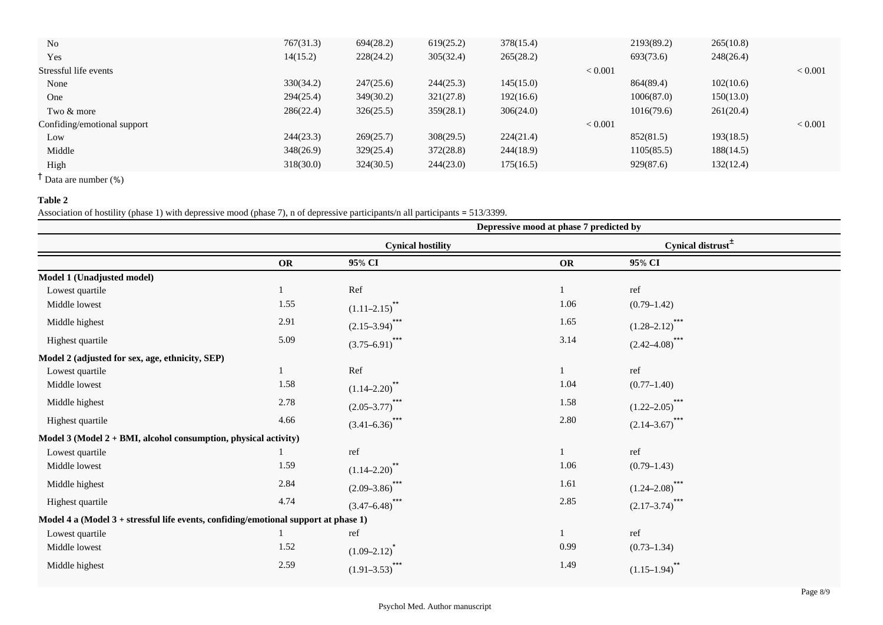| No                          | 767(31.3) | 694(28.2) | 619(25.2) | 378(15.4) |                | 2193(89.2) | 265(10.8) |                |
|-----------------------------|-----------|-----------|-----------|-----------|----------------|------------|-----------|----------------|
| Yes                         | 14(15.2)  | 228(24.2) | 305(32.4) | 265(28.2) |                | 693(73.6)  | 248(26.4) |                |
| Stressful life events       |           |           |           |           | ${}_{< 0.001}$ |            |           | ${}< 0.001$    |
| None                        | 330(34.2) | 247(25.6) | 244(25.3) | 145(15.0) |                | 864(89.4)  | 102(10.6) |                |
| One                         | 294(25.4) | 349(30.2) | 321(27.8) | 192(16.6) |                | 1006(87.0) | 150(13.0) |                |
| Two & more                  | 286(22.4) | 326(25.5) | 359(28.1) | 306(24.0) |                | 1016(79.6) | 261(20.4) |                |
| Confiding/emotional support |           |           |           |           | ${}_{< 0.001}$ |            |           | ${}_{< 0.001}$ |
| Low                         | 244(23.3) | 269(25.7) | 308(29.5) | 224(21.4) |                | 852(81.5)  | 193(18.5) |                |
| Middle                      | 348(26.9) | 329(25.4) | 372(28.8) | 244(18.9) |                | 1105(85.5) | 188(14.5) |                |
| High                        | 318(30.0) | 324(30.5) | 244(23.0) | 175(16.5) |                | 929(87.6)  | 132(12.4) |                |
|                             |           |           |           |           |                |            |           |                |

† Data are number (%)

## **Table 2**

Association of hostility (phase 1) with depressive mood (phase 7), n of depressive participants/n all participants = 513/3399.

|                                                                                     |      | Depressive mood at phase 7 predicted by |           |                                |  |  |
|-------------------------------------------------------------------------------------|------|-----------------------------------------|-----------|--------------------------------|--|--|
|                                                                                     |      | <b>Cynical hostility</b>                |           | Cynical distrust $\pm$         |  |  |
|                                                                                     | OR   | 95% CI                                  | <b>OR</b> | 95% CI                         |  |  |
| Model 1 (Unadjusted model)                                                          |      |                                         |           |                                |  |  |
| Lowest quartile                                                                     |      | Ref                                     |           | ref                            |  |  |
| Middle lowest                                                                       | 1.55 | $(1.11-2.15)^{**}$                      | 1.06      | $(0.79 - 1.42)$                |  |  |
| Middle highest                                                                      | 2.91 | $***$<br>$(2.15 - 3.94)$                | 1.65      | $***$<br>$(1.28 - 2.12)$       |  |  |
| Highest quartile                                                                    | 5.09 | $***$<br>$(3.75 - 6.91)^{x}$            | 3.14      | $(2.42 - 4.08)^{4}$            |  |  |
| Model 2 (adjusted for sex, age, ethnicity, SEP)                                     |      |                                         |           |                                |  |  |
| Lowest quartile                                                                     |      | Ref                                     |           | ref                            |  |  |
| Middle lowest                                                                       | 1.58 | $(1.14 - 2.20)$                         | 1.04      | $(0.77 - 1.40)$                |  |  |
| Middle highest                                                                      | 2.78 | $(2.05 - 3.77)^T$                       | 1.58      | $(1.22 - 2.05)$ <sup>***</sup> |  |  |
| Highest quartile                                                                    | 4.66 | $***$<br>$(3.41 - 6.36)$                | 2.80      | $(2.14 - 3.67)$                |  |  |
| Model 3 (Model 2 + BMI, alcohol consumption, physical activity)                     |      |                                         |           |                                |  |  |
| Lowest quartile                                                                     |      | ref                                     |           | ref                            |  |  |
| Middle lowest                                                                       | 1.59 | $(1.14 - 2.20)^{**}$                    | 1.06      | $(0.79 - 1.43)$                |  |  |
| Middle highest                                                                      | 2.84 | $***$<br>$(2.09 - 3.86)^{4}$            | 1.61      | $(1.24 - 2.08)$ <sup>***</sup> |  |  |
| Highest quartile                                                                    | 4.74 | $***$<br>$(3.47 - 6.48)$                | 2.85      | $(2.17 - 3.74)$                |  |  |
| Model 4 a (Model 3 + stressful life events, confiding/emotional support at phase 1) |      |                                         |           |                                |  |  |
| Lowest quartile                                                                     |      | ref                                     |           | ref                            |  |  |
| Middle lowest                                                                       | 1.52 | $(1.09 - 2.12)$                         | 0.99      | $(0.73 - 1.34)$                |  |  |
| Middle highest                                                                      | 2.59 | ***<br>$(1.91 - 3.53)$                  | 1.49      | $(1.15-1.94)$                  |  |  |